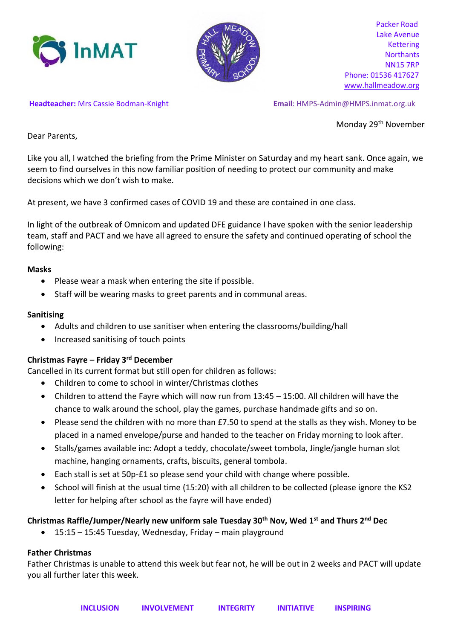



 Packer Road Lake Avenue Kettering **Northants** NN15 7RP Phone: 01536 417627 [www.hallmeadow.org](http://www.hallmeadow.org/)

**Headteacher:** Mrs Cassie Bodman-Knight **Email**: [HMPS-Admin@HMPS.inmat.org.uk](mailto:Debra.Hargrave@HMPS.inmat.org.uk)

Monday 29th November

Dear Parents,

Like you all, I watched the briefing from the Prime Minister on Saturday and my heart sank. Once again, we seem to find ourselves in this now familiar position of needing to protect our community and make decisions which we don't wish to make.

At present, we have 3 confirmed cases of COVID 19 and these are contained in one class.

In light of the outbreak of Omnicom and updated DFE guidance I have spoken with the senior leadership team, staff and PACT and we have all agreed to ensure the safety and continued operating of school the following:

## **Masks**

- Please wear a mask when entering the site if possible.
- Staff will be wearing masks to greet parents and in communal areas.

## **Sanitising**

- Adults and children to use sanitiser when entering the classrooms/building/hall
- Increased sanitising of touch points

# **Christmas Fayre – Friday 3rd December**

Cancelled in its current format but still open for children as follows:

- Children to come to school in winter/Christmas clothes
- Children to attend the Fayre which will now run from 13:45 15:00. All children will have the chance to walk around the school, play the games, purchase handmade gifts and so on.
- Please send the children with no more than £7.50 to spend at the stalls as they wish. Money to be placed in a named envelope/purse and handed to the teacher on Friday morning to look after.
- Stalls/games available inc: Adopt a teddy, chocolate/sweet tombola, Jingle/jangle human slot machine, hanging ornaments, crafts, biscuits, general tombola.
- Each stall is set at 50p-£1 so please send your child with change where possible.
- School will finish at the usual time (15:20) with all children to be collected (please ignore the KS2 letter for helping after school as the fayre will have ended)

# **Christmas Raffle/Jumper/Nearly new uniform sale Tuesday 30th Nov, Wed 1st and Thurs 2nd Dec**

• 15:15 – 15:45 Tuesday, Wednesday, Friday – main playground

# **Father Christmas**

Father Christmas is unable to attend this week but fear not, he will be out in 2 weeks and PACT will update you all further later this week.